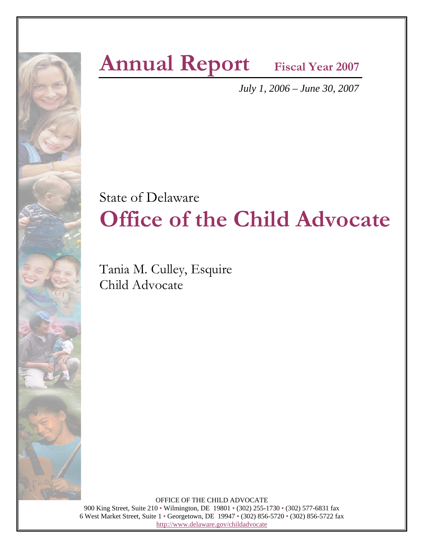

### **Annual Report** Fiscal Year 2007

*July 1, 2006 – June 30, 2007*

### State of Delaware **Office of the Child Advocate**

Tania M. Culley, Esquire Child Advocate

 OFFICE OF THE CHILD ADVOCATE 900 King Street, Suite 210 • Wilmington, DE 19801 • (302) 255-1730 • (302) 577-6831 fax 6 West Market Street, Suite 1 • Georgetown, DE 19947 • (302) 856-5720 • (302) 856-5722 fax http://www.delaware.gov/childadvocate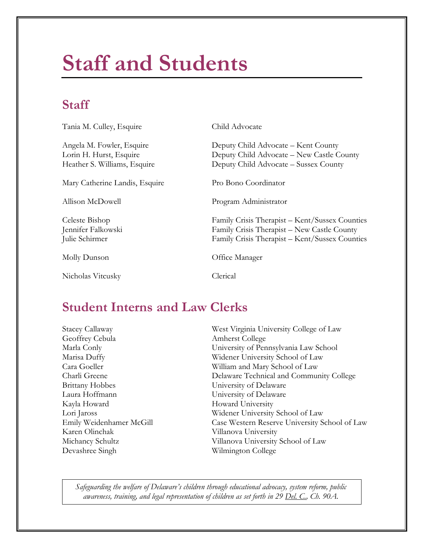## **Staff and Students**

### **Staff**

Tania M. Culley, Esquire Child Advocate

Mary Catherine Landis, Esquire Pro Bono Coordinator

Nicholas Vitcusky Clerical

Angela M. Fowler, Esquire Deputy Child Advocate – Kent County Lorin H. Hurst, Esquire Deputy Child Advocate – New Castle County Heather S. Williams, Esquire Deputy Child Advocate – Sussex County

Allison McDowell Program Administrator

Celeste Bishop Family Crisis Therapist – Kent/Sussex Counties Jennifer Falkowski Family Crisis Therapist – New Castle County Julie Schirmer Family Crisis Therapist – Kent/Sussex Counties

Molly Dunson Office Manager

### **Student Interns and Law Clerks**

Geoffrey Cebula Amherst College Brittany Hobbes University of Delaware Laura Hoffmann University of Delaware Kayla Howard University Karen Olinchak Villanova University Devashree Singh Wilmington College

Stacey Callaway West Virginia University College of Law Marla Conly University of Pennsylvania Law School Marisa Duffy Widener University School of Law Cara Goeller William and Mary School of Law Charli Greene Delaware Technical and Community College Lori Jaross Widener University School of Law Emily Weidenhamer McGill Case Western Reserve University School of Law Michancy Schultz Villanova University School of Law

*Safeguarding the welfare of Delaware's children through educational advocacy, system reform, public awareness, training, and legal representation of children as set forth in 29 Del. C., Ch. 90A.*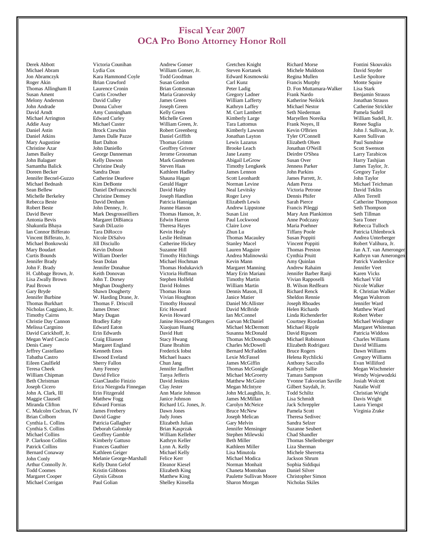#### **Fiscal Year 2007 OCA Pro Bono Attorney Honor Roll**

 Derek Abbott Michael Abram Jon Abramczyk Roger Akin Thomas Allingham II Susan Ament Melony Anderson John Andrade David Arndt Michael Arrington Addie Asay Daniel Astin Daniel Atkins Mary Augustine Christine Azar James Bailey John Balaguer Samantha Balick Doreen Becker Jennifer Becnel-Guzzo Michael Bednash Sean Bellew Michelle Berkeley Rebecca Beste Robert Beste David Bever Antonia Bevis Shakuntla Bhaya Ian Connor Bifferato Vincent Bifferato, Jr. Michael Bonkowski Mary Boudart Curtis Bounds Jennifer Brady John F. Brady H. Cubbage Brown, Jr. Lisa Zwally Brown Paul Brown Gary Bryde Jennifer Burbine Thomas Burkhart Nicholas Caggiano, Jr. Timothy Cairns Christie Day Cannon Melissa Cargnino David Carickhoff, Jr. Megan Ward Cascio Denis Casey Jeffrey Castellano Tabatha Castro Eileen Caulfield Teresa Cheek William Chipman Beth Christman Joseph Cicero John A. Clark, III Maggie Clausell Miranda Clifton C. Malcolm Cochran, IV Brian Colborn Cynthia L. Collins Cynthia S. Collins Michael Collins P. Clarkson Collins Patrick Collins Bernard Conaway John Conly Arthur Connolly Jr. Todd Coomes Margaret Cooper Michael Corrigan

 Victoria Counihan Lydia Cox Kara Hammond Coyle Brian Crawford Laurence Cronin Curtis Crowther David Culley Donna Culver Amy Cunningham Edward Curley Michael Custer Brock Czeschin James Dalle Pazze Bart Dalton John Daniello George Danneman Kelly Dawson Christine Dealy Sandra Dean Catherine Dearlove Kim DeBonte Daniel DeFranceschi Christine Demsey David Denham John Denney, Jr. Mark Desgrosseilliers Margaret DiBianca Sarah DiLuzio Tara DiRocco Nicole DiSalvo Jill Disciullo Kevin Dobson William Doerler Sean Dolan Jennifer Donahue Keith Donovan John T. Dorsey Meghan Dougherty Shawn Dougherty W. Harding Drane, Jr. Thomas F. Driscoll James Drnec Mary Dugan Bradley Eaby Edward Eaton Erin Edwards Craig Eliassen Margaret England Kenneth Enos Elwood Eveland Sherry Fallon Amy Feeney David Felice GianClaudio Finizio Erica Niezgoda Finnegan Erin Fitzgerald Matthew Fogg Edward Fornias James Freebery David Gagne Patricia Gallagher Deborah Galonsky Geoffrey Gamble Kimberly Gattuso Frances Gauthier Kathleen Geiger Melanie George-Marshall Kelly Dunn Gelof Kristin Gibbons Glynis Gibson Paul Golian

 Andrew Gonser William Gonser, Ir. Todd Goodman Susan Gordon Brian Gottesman Maria Granovsky James Green Joseph Green Kelly Green Michelle Green William Green, Jr. Robert Greenberg Daniel Griffith Thomas Grimm Geoffrey Grivner Jerome Grossman Mark Gundersen Steven Haas Kathleen Hadley Shauna Hagan Gerald Hager David Haley Joseph Handlon Patricia Hannigan Jeanne Hanson Thomas Hanson, Jr. Edwin Harron Theresa Hayes Kevin Healy Leslie Heilman Catherine Hickey Suzanne Hill Timothy Hitchings Michael Hochman Thomas Hodukavich Victoria Hoffman Stephen Holfeld David Holmes Thomas Horan Vivian Houghton Timothy Houseal Eric Howard Kevin Howard Janine Howard-O'Rangers Xiaojuan Huang David Hutt Stacy Hwang Diane Ibrahim Frederick Iobst Michael Isaacs Chun Jang Jennifer Jauffret Tanya Jefferis David Jenkins Clay Jester Ann Marie Johnson Janice Johnson Richard I.G. Jones, Jr. Dawn Jones Judy Jones Elizabeth Julian Brian Kasprzak William Kelleher Kathryn Keller Lynn A. Kelly Michael Kelly Felice Kerr Eleanor Kiesel Elizabeth King Matthew King Shelley Kinsella

 Gretchen Knight Steven Kortanek Edward Kosmowski Carl Kunz Peter Ladig Gregory Ladner William Lafferty Kathryn Laffey M. Curt Lambert Kimberly Large Tara Lattomus Kimberly Lawson Jonathan Layton Lewis Lazarus Brooke Leach Jane Leamy Abigail LeGrow Timothy Lengkeek James Lennon Scott Leonhardt Norman Levine Neal Levitsky Roger Levy Elizabeth Lewis Andrew Lippstone Susan List Paul Lockwood Claire Love Zhun Lu Thomas Macauley Stanley Macel Lauren Maguire Andrea Malinowski Kevin Mann Margaret Manning Mary Erin Mariani Timothy Martin William Martin Dennis Mason, II Janice Matier Daniel McAllister David McBride Ian McConnel Garvan McDaniel Michael McDermott Susanna McDonald Thomas McDonough Charles McDowell Bernard McFadden Lexie McFassel James McGiffin Thomas McGonigle Michael McGroerty Matthew McGuire Megan McIntyre John McLaughlin, Jr. James McMillan Carolyn McNeice Bruce McNew Joseph Melican Gary Melvin Jennifer Mensinger Stephen Milewski Beth Miller Kathleen Miller Lisa Minutola Michael Modica Norman Monhait Chaneta Montoban Paulette Sullivan Moore Sharon Morgan

 Michele Muldoon Regina Mullen Francis Murphy D. Fon Muttamara-Walker Frank Nardo Katherine Neikirk Michael Nestor Seth Niederman Maryellen Noreika Frank Noyes, II Kevin O'Brien Tyler O'Connell Elizabeth Olsen Jonathan O'Neill Deirdre O'Shea Susan Over Jenness Parker John Parkins James Parrett, Jr. Adam Perza Victoria Petrone Dennis Phifer Sarah Pierce Francis Pileggi Mary Ann Plankinton Anne Podczasy Maria Poehner Tiffany Poole Susan Poppiti Vincent Poppiti Thomas Preston Cynthia Pruitt Amy Quinlan Andrew Rahaim Jennifer Barber Ranji Vivian Rapposelli B. Wilson Redfearn Richard Renck Sheldon Rennie Joseph Rhoades Helen Richards Linda Richenderfer Courtney Riordan Michael Ripple David Ripsom Michael Robinson Elizabeth Rodriguez Bruce Rogers Helena Rychlicki Anthony Saccullo Kathryn Sallie Tamara Sampson Yvonne Takvorian Saville Gilbert Saydah, Jr. Todd Schiltz Lisa Schmidt Jack Schreppler Pamela Scott Theresa Sedivec Sandra Selzer Suzanne Seubert Chad Shandler Thomas Shellenberger Liza Sherman Michele Sherretta Jackson Shrum Sophia Siddiqui Daniel Silver Christopher Simon Nicholas Skiles

Richard Morse

 Fontini Skouvakis David Snyder Leslie Spoltore Monte Squire Lisa Stark Benjamin Strauss Jonathan Strauss Catherine Strickler Pamela Sudell William Sudell, Jr. Renee Suglia John J. Sullivan, Jr. Karen Sullivan Paul Sunshine Scott Swenson Larry Tarabicos Harry Tashjian James Taylor, Jr. Gregory Taylor John Taylor Michael Teichman David Teklits Allen Terrell Catherine Thompson Seth Thompson Seth Tillman Sara Toner Rebecca Tulloch Patricia Uhlenbrock Andrea Unterberger Robert Valihura, Jr. Jan A.T. van Amerongen, Kathryn van Amerongen Patrick Vanderslice Jennifer Veet Karen Vicks Michael Vild Nicole Walker R. Christian Walker Megan Walstrom Jennifer Ward Matthew Ward Robert Weber Michael Weidinger Margaret Whiteman Patricia Widdoss Charles Williams David Williams Dawn Williams Gregory Williams Evan Williford Megan Wischmeier Wendy Wojewodzki Josiah Wolcott Natalie Wolf Christian Wright Davis Wright Laura Yiengst Virginia Zrake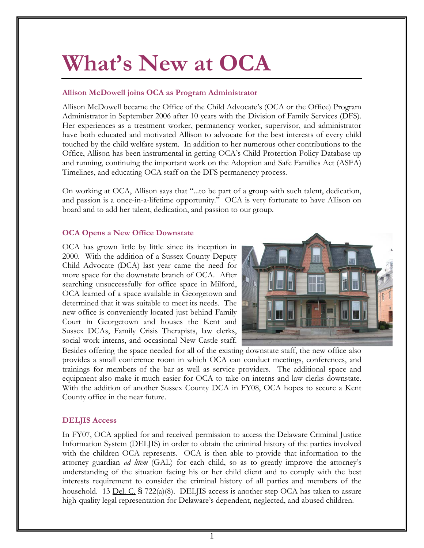# **What's New at OCA**

#### **Allison McDowell joins OCA as Program Administrator**

Allison McDowell became the Office of the Child Advocate's (OCA or the Office) Program Administrator in September 2006 after 10 years with the Division of Family Services (DFS). Her experiences as a treatment worker, permanency worker, supervisor, and administrator have both educated and motivated Allison to advocate for the best interests of every child touched by the child welfare system. In addition to her numerous other contributions to the Office, Allison has been instrumental in getting OCA's Child Protection Policy Database up and running, continuing the important work on the Adoption and Safe Families Act (ASFA) Timelines, and educating OCA staff on the DFS permanency process.

On working at OCA, Allison says that "...to be part of a group with such talent, dedication, and passion is a once-in-a-lifetime opportunity." OCA is very fortunate to have Allison on board and to add her talent, dedication, and passion to our group.

#### **OCA Opens a New Office Downstate**

OCA has grown little by little since its inception in 2000. With the addition of a Sussex County Deputy Child Advocate (DCA) last year came the need for more space for the downstate branch of OCA. After searching unsuccessfully for office space in Milford, OCA learned of a space available in Georgetown and determined that it was suitable to meet its needs. The new office is conveniently located just behind Family Court in Georgetown and houses the Kent and Sussex DCAs, Family Crisis Therapists, law clerks, social work interns, and occasional New Castle staff.



Besides offering the space needed for all of the existing downstate staff, the new office also provides a small conference room in which OCA can conduct meetings, conferences, and trainings for members of the bar as well as service providers. The additional space and equipment also make it much easier for OCA to take on interns and law clerks downstate. With the addition of another Sussex County DCA in FY08, OCA hopes to secure a Kent County office in the near future.

#### **DELJIS Access**

In FY07, OCA applied for and received permission to access the Delaware Criminal Justice Information System (DELJIS) in order to obtain the criminal history of the parties involved with the children OCA represents. OCA is then able to provide that information to the attorney guardian *ad litem* (GAL) for each child, so as to greatly improve the attorney's understanding of the situation facing his or her child client and to comply with the best interests requirement to consider the criminal history of all parties and members of the household. 13 <u>Del. C.</u>  $\frac{1}{2}$  722(a)(8). DELJIS access is another step OCA has taken to assure high-quality legal representation for Delaware's dependent, neglected, and abused children.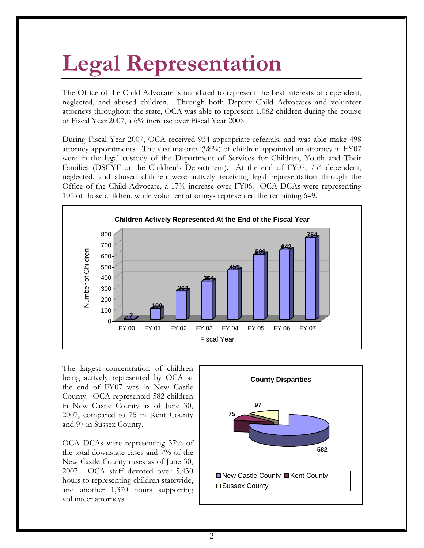# **Legal Representation**

The Office of the Child Advocate is mandated to represent the best interests of dependent, neglected, and abused children. Through both Deputy Child Advocates and volunteer attorneys throughout the state, OCA was able to represent 1,082 children during the course of Fiscal Year 2007, a 6% increase over Fiscal Year 2006.

During Fiscal Year 2007, OCA received 934 appropriate referrals, and was able make 498 attorney appointments. The vast majority (98%) of children appointed an attorney in FY07 were in the legal custody of the Department of Services for Children, Youth and Their Families (DSCYF or the Children's Department). At the end of FY07, 754 dependent, neglected, and abused children were actively receiving legal representation through the Office of the Child Advocate, a 17% increase over FY06. OCA DCAs were representing 105 of those children, while volunteer attorneys represented the remaining 649.



The largest concentration of children being actively represented by OCA at the end of FY07 was in New Castle County. OCA represented 582 children in New Castle County as of June 30, 2007, compared to 75 in Kent County and 97 in Sussex County.

OCA DCAs were representing 37% of the total downstate cases and 7% of the New Castle County cases as of June 30, 2007. OCA staff devoted over 5,430 hours to representing children statewide, and another 1,370 hours supporting volunteer attorneys.

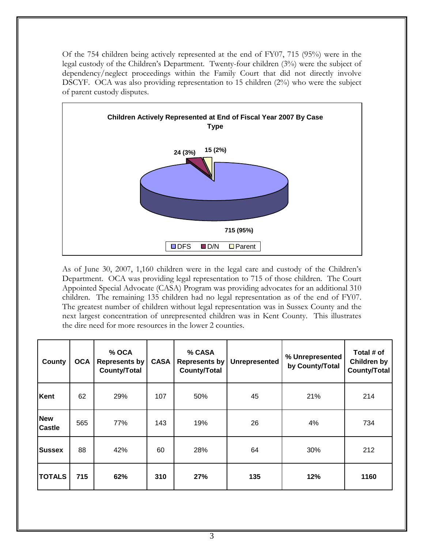Of the 754 children being actively represented at the end of FY07, 715 (95%) were in the legal custody of the Children's Department. Twenty-four children (3%) were the subject of dependency/neglect proceedings within the Family Court that did not directly involve DSCYF. OCA was also providing representation to 15 children (2%) who were the subject of parent custody disputes.



As of June 30, 2007, 1,160 children were in the legal care and custody of the Children's Department. OCA was providing legal representation to 715 of those children. The Court Appointed Special Advocate (CASA) Program was providing advocates for an additional 310 children. The remaining 135 children had no legal representation as of the end of FY07. The greatest number of children without legal representation was in Sussex County and the next largest concentration of unrepresented children was in Kent County. This illustrates the dire need for more resources in the lower 2 counties.

| <b>County</b>               | <b>OCA</b> | % OCA<br><b>Represents by</b><br><b>County/Total</b> | <b>CASA</b> | % CASA<br>Represents by<br><b>County/Total</b> | <b>Unrepresented</b> | % Unrepresented<br>by County/Total | Total # of<br>Children by<br><b>County/Total</b> |
|-----------------------------|------------|------------------------------------------------------|-------------|------------------------------------------------|----------------------|------------------------------------|--------------------------------------------------|
| Kent                        | 62         | 29%                                                  | 107         | 50%                                            | 45                   | 21%                                | 214                                              |
| <b>New</b><br><b>Castle</b> | 565        | 77%                                                  | 143         | 19%                                            | 26                   | 4%                                 | 734                                              |
| <b>Sussex</b>               | 88         | 42%                                                  | 60          | 28%                                            | 64                   | 30%                                | 212                                              |
| <b>TOTALS</b>               | 715        | 62%                                                  | 310         | 27%                                            | 135                  | 12%                                | 1160                                             |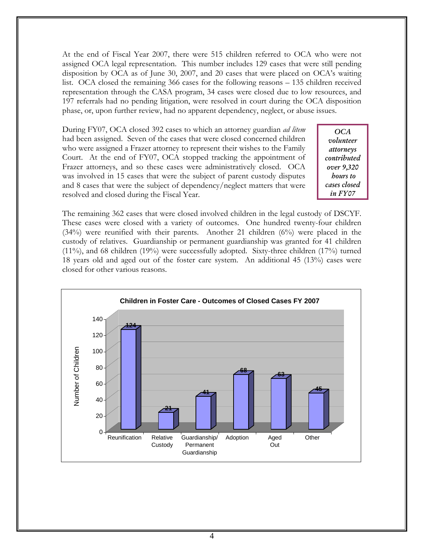At the end of Fiscal Year 2007, there were 515 children referred to OCA who were not assigned OCA legal representation. This number includes 129 cases that were still pending disposition by OCA as of June 30, 2007, and 20 cases that were placed on OCA's waiting list. OCA closed the remaining 366 cases for the following reasons – 135 children received representation through the CASA program, 34 cases were closed due to low resources, and 197 referrals had no pending litigation, were resolved in court during the OCA disposition phase, or, upon further review, had no apparent dependency, neglect, or abuse issues.

During FY07, OCA closed 392 cases to which an attorney guardian *ad litem*  had been assigned. Seven of the cases that were closed concerned children who were assigned a Frazer attorney to represent their wishes to the Family Court. At the end of FY07, OCA stopped tracking the appointment of Frazer attorneys, and so these cases were administratively closed. OCA was involved in 15 cases that were the subject of parent custody disputes and 8 cases that were the subject of dependency/neglect matters that were resolved and closed during the Fiscal Year.

*OCA volunteer attorneys contributed over 9,320 hours to cases closed in FY07* 

The remaining 362 cases that were closed involved children in the legal custody of DSCYF. These cases were closed with a variety of outcomes. One hundred twenty-four children (34%) were reunified with their parents. Another 21 children (6%) were placed in the custody of relatives. Guardianship or permanent guardianship was granted for 41 children (11%), and 68 children (19%) were successfully adopted. Sixty-three children (17%) turned 18 years old and aged out of the foster care system. An additional 45 (13%) cases were closed for other various reasons.

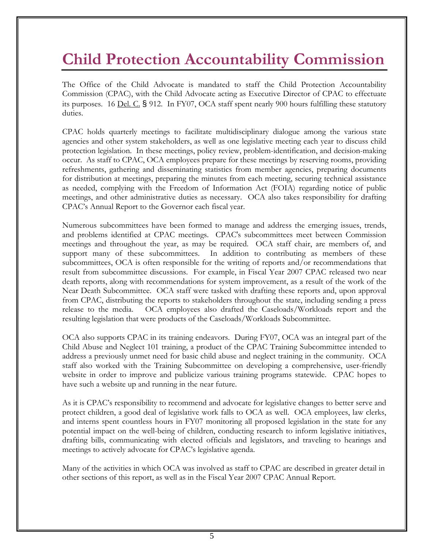### **Child Protection Accountability Commission**

The Office of the Child Advocate is mandated to staff the Child Protection Accountability Commission (CPAC), with the Child Advocate acting as Executive Director of CPAC to effectuate its purposes. 16 Del. C. § 912. In FY07, OCA staff spent nearly 900 hours fulfilling these statutory duties.

CPAC holds quarterly meetings to facilitate multidisciplinary dialogue among the various state agencies and other system stakeholders, as well as one legislative meeting each year to discuss child protection legislation. In these meetings, policy review, problem-identification, and decision-making occur. As staff to CPAC, OCA employees prepare for these meetings by reserving rooms, providing refreshments, gathering and disseminating statistics from member agencies, preparing documents for distribution at meetings, preparing the minutes from each meeting, securing technical assistance as needed, complying with the Freedom of Information Act (FOIA) regarding notice of public meetings, and other administrative duties as necessary. OCA also takes responsibility for drafting CPAC's Annual Report to the Governor each fiscal year.

Numerous subcommittees have been formed to manage and address the emerging issues, trends, and problems identified at CPAC meetings. CPAC's subcommittees meet between Commission meetings and throughout the year, as may be required. OCA staff chair, are members of, and support many of these subcommittees. In addition to contributing as members of these subcommittees, OCA is often responsible for the writing of reports and/or recommendations that result from subcommittee discussions. For example, in Fiscal Year 2007 CPAC released two near death reports, along with recommendations for system improvement, as a result of the work of the Near Death Subcommittee. OCA staff were tasked with drafting these reports and, upon approval from CPAC, distributing the reports to stakeholders throughout the state, including sending a press release to the media. OCA employees also drafted the Caseloads/Workloads report and the resulting legislation that were products of the Caseloads/Workloads Subcommittee.

OCA also supports CPAC in its training endeavors. During FY07, OCA was an integral part of the Child Abuse and Neglect 101 training, a product of the CPAC Training Subcommittee intended to address a previously unmet need for basic child abuse and neglect training in the community. OCA staff also worked with the Training Subcommittee on developing a comprehensive, user-friendly website in order to improve and publicize various training programs statewide. CPAC hopes to have such a website up and running in the near future.

As it is CPAC's responsibility to recommend and advocate for legislative changes to better serve and protect children, a good deal of legislative work falls to OCA as well. OCA employees, law clerks, and interns spent countless hours in FY07 monitoring all proposed legislation in the state for any potential impact on the well-being of children, conducting research to inform legislative initiatives, drafting bills, communicating with elected officials and legislators, and traveling to hearings and meetings to actively advocate for CPAC's legislative agenda.

Many of the activities in which OCA was involved as staff to CPAC are described in greater detail in other sections of this report, as well as in the Fiscal Year 2007 CPAC Annual Report.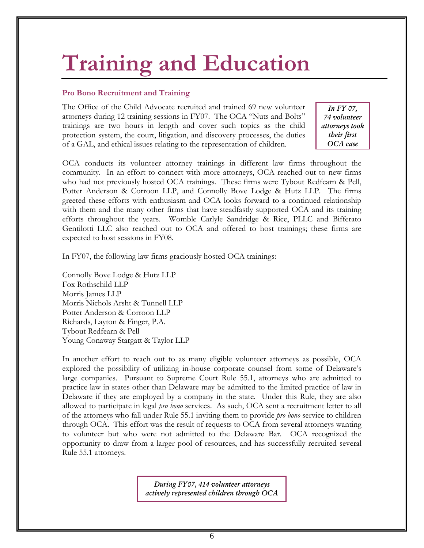# **Training and Education**

#### **Pro Bono Recruitment and Training**

The Office of the Child Advocate recruited and trained 69 new volunteer attorneys during 12 training sessions in FY07. The OCA "Nuts and Bolts" trainings are two hours in length and cover such topics as the child protection system, the court, litigation, and discovery processes, the duties of a GAL, and ethical issues relating to the representation of children.

*In FY 07, 74 volunteer attorneys took their first OCA case* 

OCA conducts its volunteer attorney trainings in different law firms throughout the community. In an effort to connect with more attorneys, OCA reached out to new firms who had not previously hosted OCA trainings. These firms were Tybout Redfearn & Pell, Potter Anderson & Corroon LLP, and Connolly Bove Lodge & Hutz LLP. The firms greeted these efforts with enthusiasm and OCA looks forward to a continued relationship with them and the many other firms that have steadfastly supported OCA and its training efforts throughout the years. Womble Carlyle Sandridge & Rice, PLLC and Bifferato Gentilotti LLC also reached out to OCA and offered to host trainings; these firms are expected to host sessions in FY08.

In FY07, the following law firms graciously hosted OCA trainings:

Connolly Bove Lodge & Hutz LLP Fox Rothschild LLP Morris James LLP Morris Nichols Arsht & Tunnell LLP Potter Anderson & Corroon LLP Richards, Layton & Finger, P.A. Tybout Redfearn & Pell Young Conaway Stargatt & Taylor LLP

In another effort to reach out to as many eligible volunteer attorneys as possible, OCA explored the possibility of utilizing in-house corporate counsel from some of Delaware's large companies. Pursuant to Supreme Court Rule 55.1, attorneys who are admitted to practice law in states other than Delaware may be admitted to the limited practice of law in Delaware if they are employed by a company in the state. Under this Rule, they are also allowed to participate in legal *pro bono* services. As such, OCA sent a recruitment letter to all of the attorneys who fall under Rule 55.1 inviting them to provide *pro bono* service to children through OCA. This effort was the result of requests to OCA from several attorneys wanting to volunteer but who were not admitted to the Delaware Bar. OCA recognized the opportunity to draw from a larger pool of resources, and has successfully recruited several Rule 55.1 attorneys.

> *During FY07, 414 volunteer attorneys actively represented children through OCA*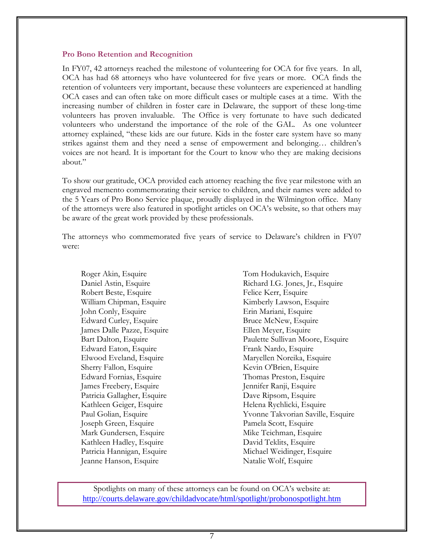#### **Pro Bono Retention and Recognition**

In FY07, 42 attorneys reached the milestone of volunteering for OCA for five years. In all, OCA has had 68 attorneys who have volunteered for five years or more. OCA finds the retention of volunteers very important, because these volunteers are experienced at handling OCA cases and can often take on more difficult cases or multiple cases at a time. With the increasing number of children in foster care in Delaware, the support of these long-time volunteers has proven invaluable. The Office is very fortunate to have such dedicated volunteers who understand the importance of the role of the GAL. As one volunteer attorney explained, "these kids are our future. Kids in the foster care system have so many strikes against them and they need a sense of empowerment and belonging… children's voices are not heard. It is important for the Court to know who they are making decisions about."

To show our gratitude, OCA provided each attorney reaching the five year milestone with an engraved memento commemorating their service to children, and their names were added to the 5 Years of Pro Bono Service plaque, proudly displayed in the Wilmington office. Many of the attorneys were also featured in spotlight articles on OCA's website, so that others may be aware of the great work provided by these professionals.

The attorneys who commemorated five years of service to Delaware's children in FY07 were:

Roger Akin, Esquire Daniel Astin, Esquire Robert Beste, Esquire William Chipman, Esquire John Conly, Esquire Edward Curley, Esquire James Dalle Pazze, Esquire Bart Dalton, Esquire Edward Eaton, Esquire Elwood Eveland, Esquire Sherry Fallon, Esquire Edward Fornias, Esquire James Freebery, Esquire Patricia Gallagher, Esquire Kathleen Geiger, Esquire Paul Golian, Esquire Joseph Green, Esquire Mark Gundersen, Esquire Kathleen Hadley, Esquire Patricia Hannigan, Esquire Jeanne Hanson, Esquire

Tom Hodukavich, Esquire Richard I.G. Jones, Jr., Esquire Felice Kerr, Esquire Kimberly Lawson, Esquire Erin Mariani, Esquire Bruce McNew, Esquire Ellen Meyer, Esquire Paulette Sullivan Moore, Esquire Frank Nardo, Esquire Maryellen Noreika, Esquire Kevin O'Brien, Esquire Thomas Preston, Esquire Jennifer Ranji, Esquire Dave Ripsom, Esquire Helena Rychlicki, Esquire Yvonne Takvorian Saville, Esquire Pamela Scott, Esquire Mike Teichman, Esquire David Teklits, Esquire Michael Weidinger, Esquire Natalie Wolf, Esquire

Spotlights on many of these attorneys can be found on OCA's website at: http://courts.delaware.gov/childadvocate/html/spotlight/probonospotlight.htm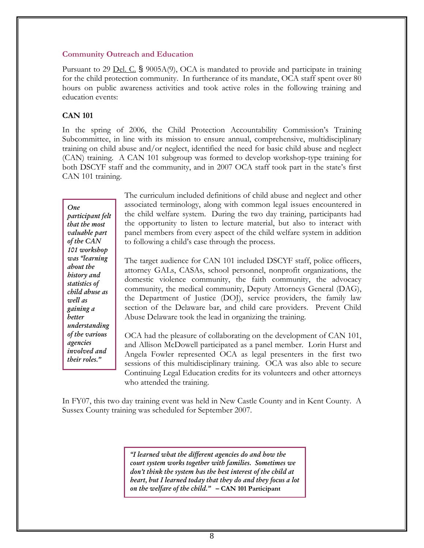#### **Community Outreach and Education**

Pursuant to 29 <u>Del. C.</u> § 9005A(9), OCA is mandated to provide and participate in training for the child protection community. In furtherance of its mandate, OCA staff spent over 80 hours on public awareness activities and took active roles in the following training and education events:

#### **CAN 101**

In the spring of 2006, the Child Protection Accountability Commission's Training Subcommittee, in line with its mission to ensure annual, comprehensive, multidisciplinary training on child abuse and/or neglect, identified the need for basic child abuse and neglect (CAN) training. A CAN 101 subgroup was formed to develop workshop-type training for both DSCYF staff and the community, and in 2007 OCA staff took part in the state's first CAN 101 training.

*One participant felt that the most valuable part of the CAN 101 workshop was "learning about the history and statistics of child abuse as well as gaining a better understanding of the various agencies involved and their roles."* 

The curriculum included definitions of child abuse and neglect and other associated terminology, along with common legal issues encountered in the child welfare system. During the two day training, participants had the opportunity to listen to lecture material, but also to interact with panel members from every aspect of the child welfare system in addition to following a child's case through the process.

The target audience for CAN 101 included DSCYF staff, police officers, attorney GALs, CASAs, school personnel, nonprofit organizations, the domestic violence community, the faith community, the advocacy community, the medical community, Deputy Attorneys General (DAG), the Department of Justice (DOJ), service providers, the family law section of the Delaware bar, and child care providers. Prevent Child Abuse Delaware took the lead in organizing the training.

OCA had the pleasure of collaborating on the development of CAN 101, and Allison McDowell participated as a panel member. Lorin Hurst and Angela Fowler represented OCA as legal presenters in the first two sessions of this multidisciplinary training. OCA was also able to secure Continuing Legal Education credits for its volunteers and other attorneys who attended the training.

In FY07, this two day training event was held in New Castle County and in Kent County. A Sussex County training was scheduled for September 2007.

> *"I learned what the different agencies do and how the court system works together with families. Sometimes we don't think the system has the best interest of the child at heart, but I learned today that they do and they focus a lot on the welfare of the child."* **– CAN 101 Participant**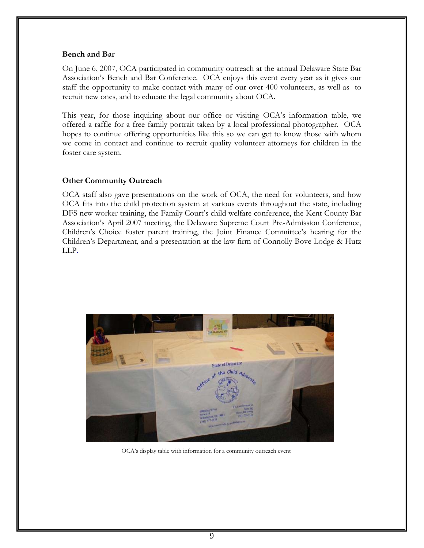#### **Bench and Bar**

On June 6, 2007, OCA participated in community outreach at the annual Delaware State Bar Association's Bench and Bar Conference. OCA enjoys this event every year as it gives our staff the opportunity to make contact with many of our over 400 volunteers, as well as to recruit new ones, and to educate the legal community about OCA.

This year, for those inquiring about our office or visiting OCA's information table, we offered a raffle for a free family portrait taken by a local professional photographer. OCA hopes to continue offering opportunities like this so we can get to know those with whom we come in contact and continue to recruit quality volunteer attorneys for children in the foster care system.

#### **Other Community Outreach**

OCA staff also gave presentations on the work of OCA, the need for volunteers, and how OCA fits into the child protection system at various events throughout the state, including DFS new worker training, the Family Court's child welfare conference, the Kent County Bar Association's April 2007 meeting, the Delaware Supreme Court Pre-Admission Conference, Children's Choice foster parent training, the Joint Finance Committee's hearing for the Children's Department, and a presentation at the law firm of Connolly Bove Lodge & Hutz LLP.



OCA's display table with information for a community outreach event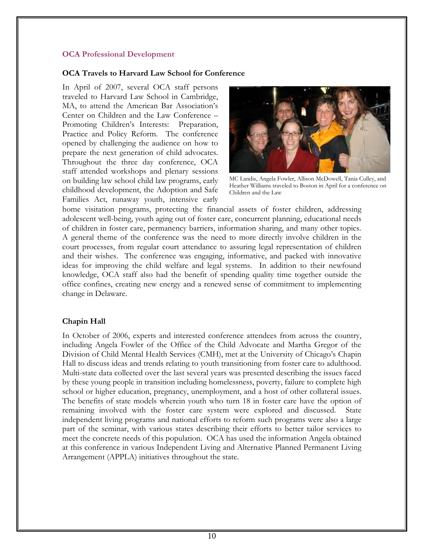#### **OCA Professional Development**

#### **OCA Travels to Harvard Law School for Conference**

In April of 2007, several OCA staff persons traveled to Harvard Law School in Cambridge, MA, to attend the American Bar Association's Center on Children and the Law Conference – Promoting Children's Interests: Preparation, Practice and Policy Reform. The conference opened by challenging the audience on how to prepare the next generation of child advocates. Throughout the three day conference, OCA staff attended workshops and plenary sessions on building law school child law programs, early childhood development, the Adoption and Safe Families Act, runaway youth, intensive early



MC Landis, Angela Fowler, Allison McDowell, Tania Culley, and Heather Williams traveled to Boston in April for a conference on Children and the Law

home visitation programs, protecting the financial assets of foster children, addressing adolescent well-being, youth aging out of foster care, concurrent planning, educational needs of children in foster care, permanency barriers, information sharing, and many other topics. A general theme of the conference was the need to more directly involve children in the court processes, from regular court attendance to assuring legal representation of children and their wishes. The conference was engaging, informative, and packed with innovative ideas for improving the child welfare and legal systems. In addition to their newfound knowledge, OCA staff also had the benefit of spending quality time together outside the office confines, creating new energy and a renewed sense of commitment to implementing change in Delaware.

#### **Chapin Hall**

In October of 2006, experts and interested conference attendees from across the country, including Angela Fowler of the Office of the Child Advocate and Martha Gregor of the Division of Child Mental Health Services (CMH), met at the University of Chicago's Chapin Hall to discuss ideas and trends relating to youth transitioning from foster care to adulthood. Multi-state data collected over the last several years was presented describing the issues faced by these young people in transition including homelessness, poverty, failure to complete high school or higher education, pregnancy, unemployment, and a host of other collateral issues. The benefits of state models wherein youth who turn 18 in foster care have the option of remaining involved with the foster care system were explored and discussed. State independent living programs and national efforts to reform such programs were also a large part of the seminar, with various states describing their efforts to better tailor services to meet the concrete needs of this population. OCA has used the information Angela obtained at this conference in various Independent Living and Alternative Planned Permanent Living Arrangement (APPLA) initiatives throughout the state.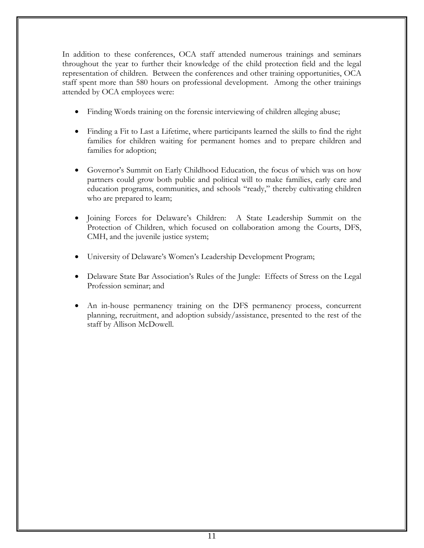In addition to these conferences, OCA staff attended numerous trainings and seminars throughout the year to further their knowledge of the child protection field and the legal representation of children. Between the conferences and other training opportunities, OCA staff spent more than 580 hours on professional development. Among the other trainings attended by OCA employees were:

- Finding Words training on the forensic interviewing of children alleging abuse;
- Finding a Fit to Last a Lifetime, where participants learned the skills to find the right families for children waiting for permanent homes and to prepare children and families for adoption;
- Governor's Summit on Early Childhood Education, the focus of which was on how partners could grow both public and political will to make families, early care and education programs, communities, and schools "ready," thereby cultivating children who are prepared to learn;
- Joining Forces for Delaware's Children: A State Leadership Summit on the Protection of Children, which focused on collaboration among the Courts, DFS, CMH, and the juvenile justice system;
- University of Delaware's Women's Leadership Development Program;
- Delaware State Bar Association's Rules of the Jungle: Effects of Stress on the Legal Profession seminar; and
- An in-house permanency training on the DFS permanency process, concurrent planning, recruitment, and adoption subsidy/assistance, presented to the rest of the staff by Allison McDowell.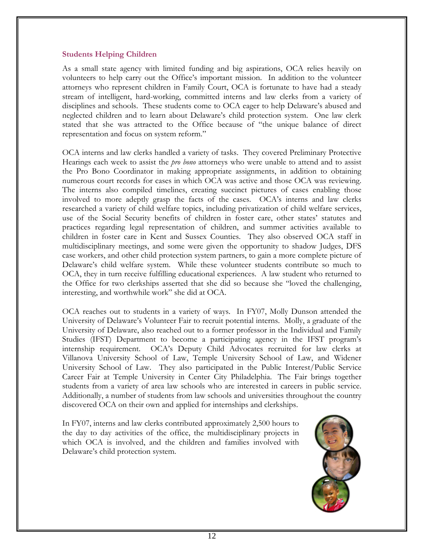#### **Students Helping Children**

As a small state agency with limited funding and big aspirations, OCA relies heavily on volunteers to help carry out the Office's important mission. In addition to the volunteer attorneys who represent children in Family Court, OCA is fortunate to have had a steady stream of intelligent, hard-working, committed interns and law clerks from a variety of disciplines and schools. These students come to OCA eager to help Delaware's abused and neglected children and to learn about Delaware's child protection system. One law clerk stated that she was attracted to the Office because of "the unique balance of direct representation and focus on system reform."

OCA interns and law clerks handled a variety of tasks. They covered Preliminary Protective Hearings each week to assist the *pro bono* attorneys who were unable to attend and to assist the Pro Bono Coordinator in making appropriate assignments, in addition to obtaining numerous court records for cases in which OCA was active and those OCA was reviewing. The interns also compiled timelines, creating succinct pictures of cases enabling those involved to more adeptly grasp the facts of the cases. OCA's interns and law clerks researched a variety of child welfare topics, including privatization of child welfare services, use of the Social Security benefits of children in foster care, other states' statutes and practices regarding legal representation of children, and summer activities available to children in foster care in Kent and Sussex Counties. They also observed OCA staff in multidisciplinary meetings, and some were given the opportunity to shadow Judges, DFS case workers, and other child protection system partners, to gain a more complete picture of Delaware's child welfare system. While these volunteer students contribute so much to OCA, they in turn receive fulfilling educational experiences. A law student who returned to the Office for two clerkships asserted that she did so because she "loved the challenging, interesting, and worthwhile work" she did at OCA.

OCA reaches out to students in a variety of ways. In FY07, Molly Dunson attended the University of Delaware's Volunteer Fair to recruit potential interns. Molly, a graduate of the University of Delaware, also reached out to a former professor in the Individual and Family Studies (IFST) Department to become a participating agency in the IFST program's internship requirement. OCA's Deputy Child Advocates recruited for law clerks at Villanova University School of Law, Temple University School of Law, and Widener University School of Law. They also participated in the Public Interest/Public Service Career Fair at Temple University in Center City Philadelphia. The Fair brings together students from a variety of area law schools who are interested in careers in public service. Additionally, a number of students from law schools and universities throughout the country discovered OCA on their own and applied for internships and clerkships.

In FY07, interns and law clerks contributed approximately 2,500 hours to the day to day activities of the office, the multidisciplinary projects in which OCA is involved, and the children and families involved with Delaware's child protection system.

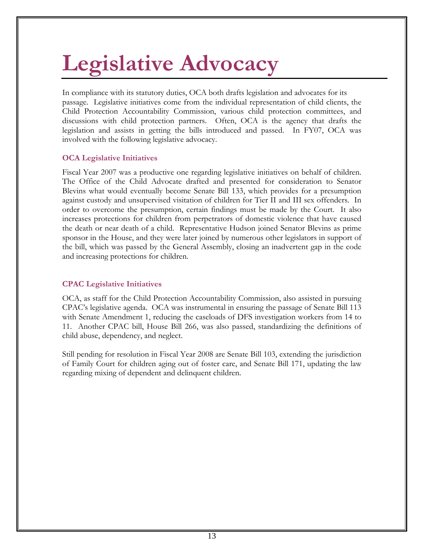# **Legislative Advocacy**

In compliance with its statutory duties, OCA both drafts legislation and advocates for its passage. Legislative initiatives come from the individual representation of child clients, the Child Protection Accountability Commission, various child protection committees, and discussions with child protection partners. Often, OCA is the agency that drafts the legislation and assists in getting the bills introduced and passed. In FY07, OCA was involved with the following legislative advocacy.

#### **OCA Legislative Initiatives**

Fiscal Year 2007 was a productive one regarding legislative initiatives on behalf of children. The Office of the Child Advocate drafted and presented for consideration to Senator Blevins what would eventually become Senate Bill 133, which provides for a presumption against custody and unsupervised visitation of children for Tier II and III sex offenders. In order to overcome the presumption, certain findings must be made by the Court. It also increases protections for children from perpetrators of domestic violence that have caused the death or near death of a child. Representative Hudson joined Senator Blevins as prime sponsor in the House, and they were later joined by numerous other legislators in support of the bill, which was passed by the General Assembly, closing an inadvertent gap in the code and increasing protections for children.

#### **CPAC Legislative Initiatives**

OCA, as staff for the Child Protection Accountability Commission, also assisted in pursuing CPAC's legislative agenda. OCA was instrumental in ensuring the passage of Senate Bill 113 with Senate Amendment 1, reducing the caseloads of DFS investigation workers from 14 to 11. Another CPAC bill, House Bill 266, was also passed, standardizing the definitions of child abuse, dependency, and neglect.

Still pending for resolution in Fiscal Year 2008 are Senate Bill 103, extending the jurisdiction of Family Court for children aging out of foster care, and Senate Bill 171, updating the law regarding mixing of dependent and delinquent children.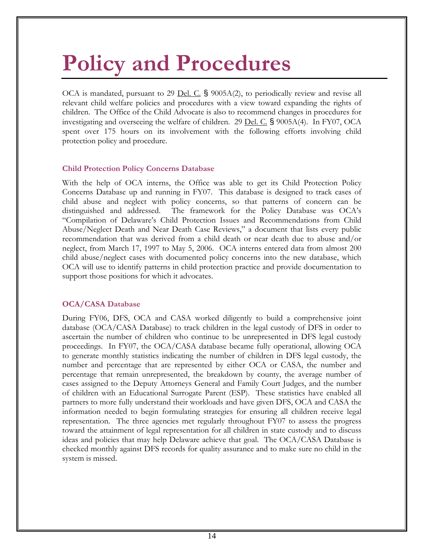# **Policy and Procedures**

OCA is mandated, pursuant to 29 <u>Del. C.</u> § 9005A(2), to periodically review and revise all relevant child welfare policies and procedures with a view toward expanding the rights of children. The Office of the Child Advocate is also to recommend changes in procedures for investigating and overseeing the welfare of children. 29 Del. C.  $\S$  9005A(4). In FY07, OCA spent over 175 hours on its involvement with the following efforts involving child protection policy and procedure.

#### **Child Protection Policy Concerns Database**

With the help of OCA interns, the Office was able to get its Child Protection Policy Concerns Database up and running in FY07. This database is designed to track cases of child abuse and neglect with policy concerns, so that patterns of concern can be distinguished and addressed. The framework for the Policy Database was OCA's "Compilation of Delaware's Child Protection Issues and Recommendations from Child Abuse/Neglect Death and Near Death Case Reviews," a document that lists every public recommendation that was derived from a child death or near death due to abuse and/or neglect, from March 17, 1997 to May 5, 2006. OCA interns entered data from almost 200 child abuse/neglect cases with documented policy concerns into the new database, which OCA will use to identify patterns in child protection practice and provide documentation to support those positions for which it advocates.

#### **OCA/CASA Database**

During FY06, DFS, OCA and CASA worked diligently to build a comprehensive joint database (OCA/CASA Database) to track children in the legal custody of DFS in order to ascertain the number of children who continue to be unrepresented in DFS legal custody proceedings. In FY07, the OCA/CASA database became fully operational, allowing OCA to generate monthly statistics indicating the number of children in DFS legal custody, the number and percentage that are represented by either OCA or CASA, the number and percentage that remain unrepresented, the breakdown by county, the average number of cases assigned to the Deputy Attorneys General and Family Court Judges, and the number of children with an Educational Surrogate Parent (ESP). These statistics have enabled all partners to more fully understand their workloads and have given DFS, OCA and CASA the information needed to begin formulating strategies for ensuring all children receive legal representation. The three agencies met regularly throughout FY07 to assess the progress toward the attainment of legal representation for all children in state custody and to discuss ideas and policies that may help Delaware achieve that goal. The OCA/CASA Database is checked monthly against DFS records for quality assurance and to make sure no child in the system is missed.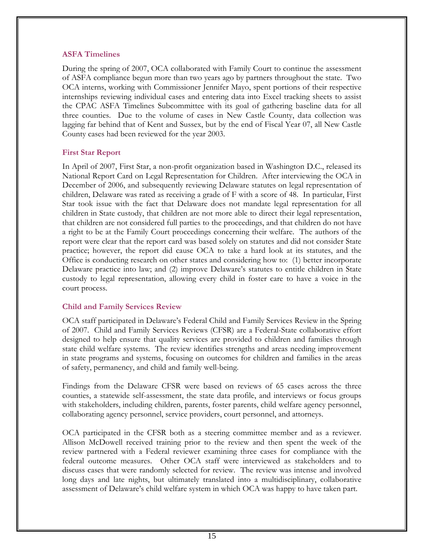#### **ASFA Timelines**

During the spring of 2007, OCA collaborated with Family Court to continue the assessment of ASFA compliance begun more than two years ago by partners throughout the state. Two OCA interns, working with Commissioner Jennifer Mayo, spent portions of their respective internships reviewing individual cases and entering data into Excel tracking sheets to assist the CPAC ASFA Timelines Subcommittee with its goal of gathering baseline data for all three counties. Due to the volume of cases in New Castle County, data collection was lagging far behind that of Kent and Sussex, but by the end of Fiscal Year 07, all New Castle County cases had been reviewed for the year 2003.

#### **First Star Report**

In April of 2007, First Star, a non-profit organization based in Washington D.C., released its National Report Card on Legal Representation for Children. After interviewing the OCA in December of 2006, and subsequently reviewing Delaware statutes on legal representation of children, Delaware was rated as receiving a grade of F with a score of 48. In particular, First Star took issue with the fact that Delaware does not mandate legal representation for all children in State custody, that children are not more able to direct their legal representation, that children are not considered full parties to the proceedings, and that children do not have a right to be at the Family Court proceedings concerning their welfare. The authors of the report were clear that the report card was based solely on statutes and did not consider State practice; however, the report did cause OCA to take a hard look at its statutes, and the Office is conducting research on other states and considering how to: (1) better incorporate Delaware practice into law; and (2) improve Delaware's statutes to entitle children in State custody to legal representation, allowing every child in foster care to have a voice in the court process.

#### **Child and Family Services Review**

OCA staff participated in Delaware's Federal Child and Family Services Review in the Spring of 2007. Child and Family Services Reviews (CFSR) are a Federal-State collaborative effort designed to help ensure that quality services are provided to children and families through state child welfare systems. The review identifies strengths and areas needing improvement in state programs and systems, focusing on outcomes for children and families in the areas of safety, permanency, and child and family well-being.

Findings from the Delaware CFSR were based on reviews of 65 cases across the three counties, a statewide self-assessment, the state data profile, and interviews or focus groups with stakeholders, including children, parents, foster parents, child welfare agency personnel, collaborating agency personnel, service providers, court personnel, and attorneys.

OCA participated in the CFSR both as a steering committee member and as a reviewer. Allison McDowell received training prior to the review and then spent the week of the review partnered with a Federal reviewer examining three cases for compliance with the federal outcome measures. Other OCA staff were interviewed as stakeholders and to discuss cases that were randomly selected for review. The review was intense and involved long days and late nights, but ultimately translated into a multidisciplinary, collaborative assessment of Delaware's child welfare system in which OCA was happy to have taken part.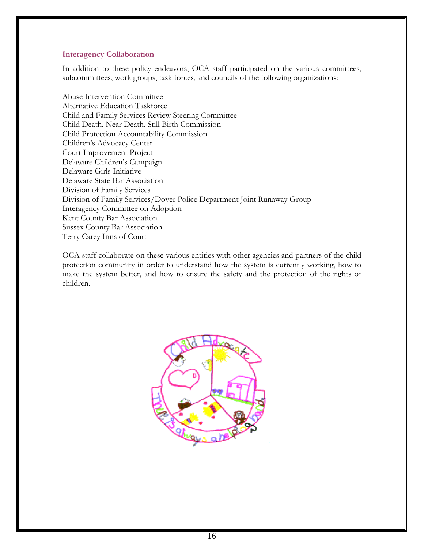#### **Interagency Collaboration**

In addition to these policy endeavors, OCA staff participated on the various committees, subcommittees, work groups, task forces, and councils of the following organizations:

Abuse Intervention Committee Alternative Education Taskforce Child and Family Services Review Steering Committee Child Death, Near Death, Still Birth Commission Child Protection Accountability Commission Children's Advocacy Center Court Improvement Project Delaware Children's Campaign Delaware Girls Initiative Delaware State Bar Association Division of Family Services Division of Family Services/Dover Police Department Joint Runaway Group Interagency Committee on Adoption Kent County Bar Association Sussex County Bar Association Terry Carey Inns of Court

OCA staff collaborate on these various entities with other agencies and partners of the child protection community in order to understand how the system is currently working, how to make the system better, and how to ensure the safety and the protection of the rights of children.

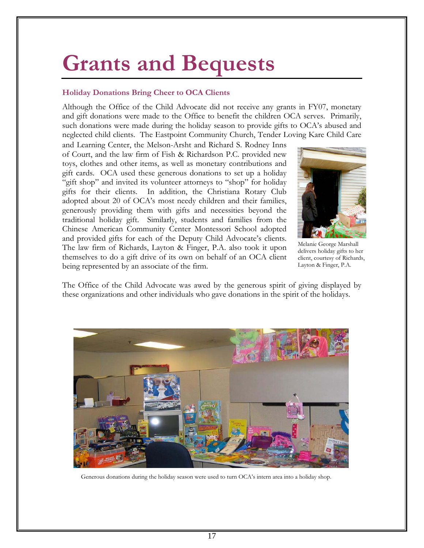# **Grants and Bequests**

#### **Holiday Donations Bring Cheer to OCA Clients**

Although the Office of the Child Advocate did not receive any grants in FY07, monetary and gift donations were made to the Office to benefit the children OCA serves. Primarily, such donations were made during the holiday season to provide gifts to OCA's abused and neglected child clients. The Eastpoint Community Church, Tender Loving Kare Child Care

and Learning Center, the Melson-Arsht and Richard S. Rodney Inns of Court, and the law firm of Fish & Richardson P.C. provided new toys, clothes and other items, as well as monetary contributions and gift cards. OCA used these generous donations to set up a holiday "gift shop" and invited its volunteer attorneys to "shop" for holiday gifts for their clients. In addition, the Christiana Rotary Club adopted about 20 of OCA's most needy children and their families, generously providing them with gifts and necessities beyond the traditional holiday gift. Similarly, students and families from the Chinese American Community Center Montessori School adopted and provided gifts for each of the Deputy Child Advocate's clients. The law firm of Richards, Layton & Finger, P.A. also took it upon themselves to do a gift drive of its own on behalf of an OCA client being represented by an associate of the firm.



Melanie George Marshall delivers holiday gifts to her client, courtesy of Richards, Layton & Finger, P.A.

The Office of the Child Advocate was awed by the generous spirit of giving displayed by these organizations and other individuals who gave donations in the spirit of the holidays.



Generous donations during the holiday season were used to turn OCA's intern area into a holiday shop.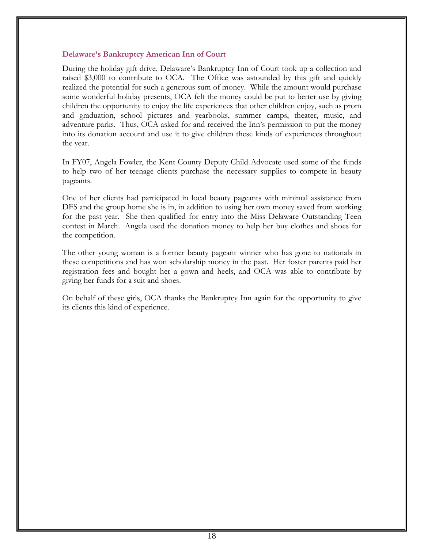#### **Delaware's Bankruptcy American Inn of Court**

During the holiday gift drive, Delaware's Bankruptcy Inn of Court took up a collection and raised \$3,000 to contribute to OCA. The Office was astounded by this gift and quickly realized the potential for such a generous sum of money. While the amount would purchase some wonderful holiday presents, OCA felt the money could be put to better use by giving children the opportunity to enjoy the life experiences that other children enjoy, such as prom and graduation, school pictures and yearbooks, summer camps, theater, music, and adventure parks. Thus, OCA asked for and received the Inn's permission to put the money into its donation account and use it to give children these kinds of experiences throughout the year.

In FY07, Angela Fowler, the Kent County Deputy Child Advocate used some of the funds to help two of her teenage clients purchase the necessary supplies to compete in beauty pageants.

One of her clients had participated in local beauty pageants with minimal assistance from DFS and the group home she is in, in addition to using her own money saved from working for the past year. She then qualified for entry into the Miss Delaware Outstanding Teen contest in March. Angela used the donation money to help her buy clothes and shoes for the competition.

The other young woman is a former beauty pageant winner who has gone to nationals in these competitions and has won scholarship money in the past. Her foster parents paid her registration fees and bought her a gown and heels, and OCA was able to contribute by giving her funds for a suit and shoes.

On behalf of these girls, OCA thanks the Bankruptcy Inn again for the opportunity to give its clients this kind of experience.